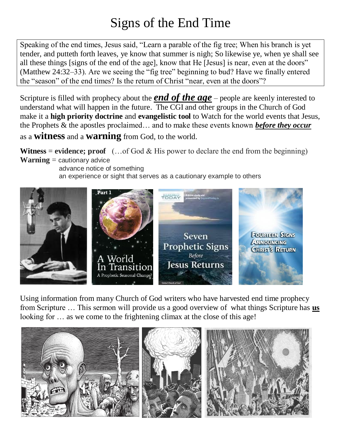# Signs of the End Time

Speaking of the end times, Jesus said, "Learn a parable of the fig tree; When his branch is yet tender, and putteth forth leaves, ye know that summer is nigh; So likewise ye, when ye shall see all these things [signs of the end of the age], know that He [Jesus] is near, even at the doors" (Matthew 24:32–33). Are we seeing the "fig tree" beginning to bud? Have we finally entered the "season" of the end times? Is the return of Christ "near, even at the doors"?

Scripture is filled with prophecy about the *end of the age* – people are keenly interested to understand what will happen in the future. The CGI and other groups in the Church of God make it a **high priority doctrine** and **evangelistic tool** to Watch for the world events that Jesus, the Prophets & the apostles proclaimed… and to make these events known *before they occur* as a **witness** and a **warning** from God, to the world.

**Witness** = **evidence;** proof  $(...$  of God & His power to declare the end from the beginning) **Warning** = cautionary advice

 advance notice of something an experience or sight that serves as a cautionary example to others



Using information from many Church of God writers who have harvested end time prophecy from Scripture … This sermon will provide us a good overview of what things Scripture has **us** looking for ... as we come to the frightening climax at the close of this age!

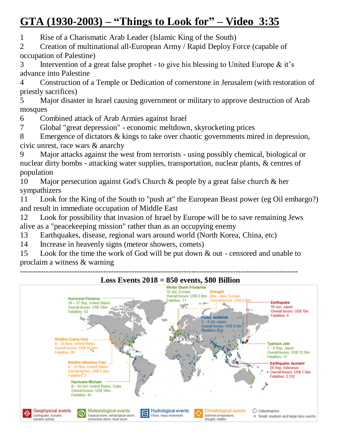## **GTA (1930-2003) – "Things to Look for" – Video 3:35**

1 Rise of a Charismatic Arab Leader (Islamic King of the South)

2 Creation of multinational all-European Army / Rapid Deploy Force (capable of occupation of Palestine)

3 Intervention of a great false prophet - to give his blessing to United Europe  $\&$  it's advance into Palestine

4 Construction of a Temple or Dedication of cornerstone in Jerusalem (with restoration of priestly sacrifices)

5 Major disaster in Israel causing government or military to approve destruction of Arab mosques

6 Combined attack of Arab Armies against Israel

7 Global "great depression" - economic meltdown, skyrocketing prices

8 Emergence of dictators & kings to take over chaotic governments mired in depression, civic unrest, race wars & anarchy

9 Major attacks against the west from terrorists - using possibly chemical, biological or nuclear dirty bombs - attacking water supplies, transportation, nuclear plants, & centres of population

10 Major persecution against God's Church & people by a great false church & her sympathizers

11 Look for the King of the South to "push at" the European Beast power (eg Oil embargo?) and result in immediate occupation of Middle East

12 Look for possibility that invasion of Israel by Europe will be to save remaining Jews alive as a "peacekeeping mission" rather than as an occupying enemy

13 Earthquakes, disease, regional wars around world (North Korea, China, etc)

14 Increase in heavenly signs (meteor showers, comets)

15 Look for the time the work of God will be put down & out - censored and unable to proclaim a witness & warning

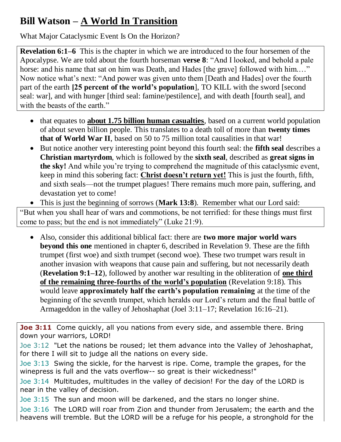## **Bill Watson – A World In Transition**

What Major Cataclysmic Event Is On the Horizon?

**Revelation 6:1–6** This is the chapter in which we are introduced to the four horsemen of the Apocalypse. We are told about the fourth horseman **verse 8**: "And I looked, and behold a pale horse: and his name that sat on him was Death, and Hades [the grave] followed with him...." Now notice what's next: "And power was given unto them [Death and Hades] over the fourth part of the earth **[25 percent of the world's population**], TO KILL with the sword [second seal: war], and with hunger [third seal: famine/pestilence], and with death [fourth seal], and with the beasts of the earth."

- that equates to **about 1.75 billion human casualties**, based on a current world population of about seven billion people. This translates to a death toll of more than **twenty times that of World War II**, based on 50 to 75 million total causalities in that war!
- But notice another very interesting point beyond this fourth seal: the **fifth seal** describes a **Christian martyrdom**, which is followed by the **sixth seal**, described as **great signs in the sky!** And while you're trying to comprehend the magnitude of this cataclysmic event, keep in mind this sobering fact: **Christ doesn't return yet!** This is just the fourth, fifth, and sixth seals—not the trumpet plagues! There remains much more pain, suffering, and devastation yet to come!

 This is just the beginning of sorrows (**Mark 13:8**). Remember what our Lord said: "But when you shall hear of wars and commotions, be not terrified: for these things must first come to pass; but the end is not immediately" (Luke 21:9).

 Also, consider this additional biblical fact: there are **two more major world wars beyond this one** mentioned in chapter 6, described in Revelation 9. These are the fifth trumpet (first woe) and sixth trumpet (second woe). These two trumpet wars result in another invasion with weapons that cause pain and suffering, but not necessarily death (**Revelation 9:1–12**), followed by another war resulting in the obliteration of **one third of the remaining three-fourths of the world's population** (Revelation 9:18). This would leave **approximately half the earth's population remaining** at the time of the beginning of the seventh trumpet, which heralds our Lord's return and the final battle of Armageddon in the valley of Jehoshaphat (Joel 3:11–17; Revelation 16:16–21).

**Joe 3:11** Come quickly, all you nations from every side, and assemble there. Bring down your warriors, LORD!

Joe 3:12 "Let the nations be roused; let them advance into the Valley of Jehoshaphat, for there I will sit to judge all the nations on every side.

Joe 3:13 Swing the sickle, for the harvest is ripe. Come, trample the grapes, for the winepress is full and the vats overflow-- so great is their wickedness!"

Joe 3:14 Multitudes, multitudes in the valley of decision! For the day of the LORD is near in the valley of decision.

Joe 3:15 The sun and moon will be darkened, and the stars no longer shine.

Joe 3:16 The LORD will roar from Zion and thunder from Jerusalem; the earth and the heavens will tremble. But the LORD will be a refuge for his people, a stronghold for the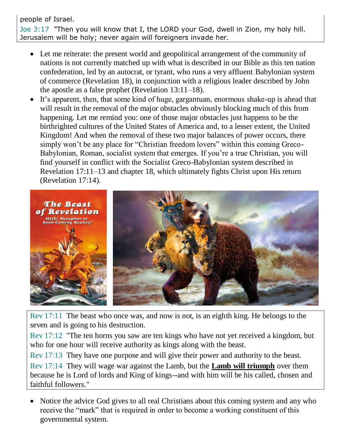people of Israel. Joe 3:17 "Then you will know that I, the LORD your God, dwell in Zion, my holy hill. Jerusalem will be holy; never again will foreigners invade her.

- Let me reiterate: the present world and geopolitical arrangement of the community of nations is not currently matched up with what is described in our Bible as this ten nation confederation, led by an autocrat, or tyrant, who runs a very affluent Babylonian system of commerce (Revelation 18), in conjunction with a religious leader described by John the apostle as a false prophet (Revelation 13:11–18).
- It's apparent, then, that some kind of huge, gargantuan, enormous shake-up is ahead that will result in the removal of the major obstacles obviously blocking much of this from happening. Let me remind you: one of those major obstacles just happens to be the birthrighted cultures of the United States of America and, to a lesser extent, the United Kingdom! And when the removal of these two major balances of power occurs, there simply won't be any place for "Christian freedom lovers" within this coming Greco-Babylonian, Roman, socialist system that emerges. If you're a true Christian, you will find yourself in conflict with the Socialist Greco-Babylonian system described in Revelation 17:11–13 and chapter 18, which ultimately fights Christ upon His return (Revelation 17:14).



Rev 17:11 The beast who once was, and now is not, is an eighth king. He belongs to the seven and is going to his destruction.

Rev 17:12 "The ten horns you saw are ten kings who have not yet received a kingdom, but who for one hour will receive authority as kings along with the beast.

Rev 17:13 They have one purpose and will give their power and authority to the beast. Rev 17:14 They will wage war against the Lamb, but the **Lamb will triumph** over them because he is Lord of lords and King of kings--and with him will be his called, chosen and faithful followers."

• Notice the advice God gives to all real Christians about this coming system and any who receive the "mark" that is required in order to become a working constituent of this governmental system.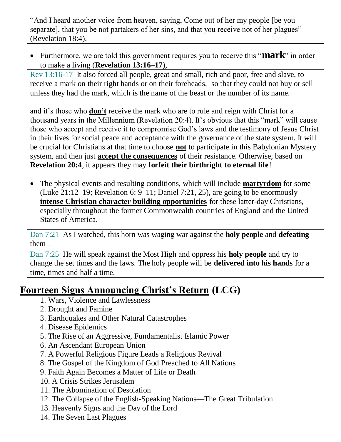"And I heard another voice from heaven, saying, Come out of her my people [be you separate], that you be not partakers of her sins, and that you receive not of her plagues" (Revelation 18:4).

 Furthermore, we are told this government requires you to receive this "**mark**" in order to make a living (**Revelation 13:16–17**),

Rev 13:16-17 It also forced all people, great and small, rich and poor, free and slave, to receive a mark on their right hands or on their foreheads, so that they could not buy or sell unless they had the mark, which is the name of the beast or the number of its name.

and it's those who **don't** receive the mark who are to rule and reign with Christ for a thousand years in the Millennium (Revelation 20:4). It's obvious that this "mark" will cause those who accept and receive it to compromise God's laws and the testimony of Jesus Christ in their lives for social peace and acceptance with the governance of the state system. It will be crucial for Christians at that time to choose **not** to participate in this Babylonian Mystery system, and then just **accept the consequences** of their resistance. Otherwise, based on **Revelation 20:4**, it appears they may **forfeit their birthright to eternal life**!

 The physical events and resulting conditions, which will include **martyrdom** for some (Luke 21:12–19; Revelation 6: 9–11; Daniel 7:21, 25), are going to be enormously **intense Christian character building opportunities** for these latter-day Christians, especially throughout the former Commonwealth countries of England and the United States of America.

Dan 7:21 As I watched, this horn was waging war against the **holy people** and **defeating** them …

Dan 7:25 He will speak against the Most High and oppress his **holy people** and try to change the set times and the laws. The holy people will be **delivered into his hands** for a time, times and half a time.

#### **Fourteen Signs Announcing Christ's Return (LCG)**

- 1. Wars, Violence and Lawlessness
- 2. Drought and Famine
- 3. Earthquakes and Other Natural Catastrophes
- 4. Disease Epidemics
- 5. The Rise of an Aggressive, Fundamentalist Islamic Power
- 6. An Ascendant European Union
- 7. A Powerful Religious Figure Leads a Religious Revival
- 8. The Gospel of the Kingdom of God Preached to All Nations
- 9. Faith Again Becomes a Matter of Life or Death
- 10. A Crisis Strikes Jerusalem
- 11. The Abomination of Desolation
- 12. The Collapse of the English-Speaking Nations—The Great Tribulation
- 13. Heavenly Signs and the Day of the Lord
- 14. The Seven Last Plagues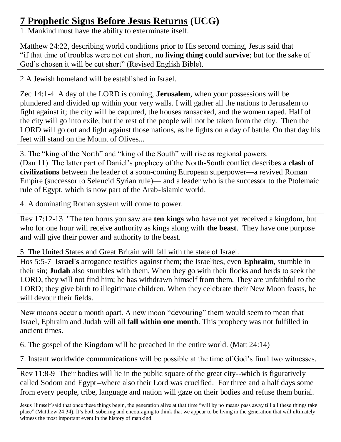#### **7 Prophetic Signs Before Jesus Returns (UCG)**

1. Mankind must have the ability to exterminate itself.

Matthew 24:22, describing world conditions prior to His second coming, Jesus said that "if that time of troubles were not cut short, **no living thing could survive**; but for the sake of God's chosen it will be cut short" (Revised English Bible).

2.A Jewish homeland will be established in Israel.

Zec 14:1-4 A day of the LORD is coming, **Jerusalem**, when your possessions will be plundered and divided up within your very walls. I will gather all the nations to Jerusalem to fight against it; the city will be captured, the houses ransacked, and the women raped. Half of the city will go into exile, but the rest of the people will not be taken from the city. Then the LORD will go out and fight against those nations, as he fights on a day of battle. On that day his feet will stand on the Mount of Olives...

3. The "king of the North" and "king of the South" will rise as regional powers. (Dan 11) The latter part of Daniel's prophecy of the North-South conflict describes a **clash of civilizations** between the leader of a soon-coming European superpower—a revived Roman Empire (successor to Seleucid Syrian rule)— and a leader who is the successor to the Ptolemaic rule of Egypt, which is now part of the Arab-Islamic world.

4. A dominating Roman system will come to power.

Rev 17:12-13 "The ten horns you saw are **ten kings** who have not yet received a kingdom, but who for one hour will receive authority as kings along with **the beast**. They have one purpose and will give their power and authority to the beast.

5. The United States and Great Britain will fall with the state of Israel.

Hos 5:5-7 **Israel's** arrogance testifies against them; the Israelites, even **Ephraim**, stumble in their sin; **Judah** also stumbles with them. When they go with their flocks and herds to seek the LORD, they will not find him; he has withdrawn himself from them. They are unfaithful to the LORD; they give birth to illegitimate children. When they celebrate their New Moon feasts, he will devour their fields.

New moons occur a month apart. A new moon "devouring" them would seem to mean that Israel, Ephraim and Judah will all **fall within one month**. This prophecy was not fulfilled in ancient times.

6. The gospel of the Kingdom will be preached in the entire world. (Matt 24:14)

7. Instant worldwide communications will be possible at the time of God's final two witnesses.

Rev 11:8-9 Their bodies will lie in the public square of the great city--which is figuratively called Sodom and Egypt--where also their Lord was crucified. For three and a half days some from every people, tribe, language and nation will gaze on their bodies and refuse them burial.

Jesus Himself said that once these things begin, the generation alive at that time "will by no means pass away till all these things take place" (Matthew 24:34). It's both sobering and encouraging to think that we appear to be living in the generation that will ultimately witness the most important event in the history of mankind.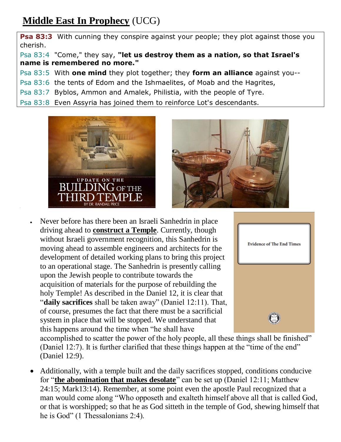### **Middle East In Prophecy** (UCG)

**Psa 83:3** With cunning they conspire against your people; they plot against those you cherish.

Psa 83:4 "Come," they say, **"let us destroy them as a nation, so that Israel's name is remembered no more."** 

Psa 83:5 With **one mind** they plot together; they **form an alliance** against you--

Psa 83:6 the tents of Edom and the Ishmaelites, of Moab and the Hagrites,

Psa 83:7 Byblos, Ammon and Amalek, Philistia, with the people of Tyre.

Psa 83:8 Even Assyria has joined them to reinforce Lot's descendants.



l,



 Never before has there been an Israeli Sanhedrin in place driving ahead to **construct a Temple**. Currently, though without Israeli government recognition, this Sanhedrin is moving ahead to assemble engineers and architects for the development of detailed working plans to bring this project to an operational stage. The Sanhedrin is presently calling upon the Jewish people to contribute towards the acquisition of materials for the purpose of rebuilding the holy Temple! As described in the Daniel 12, it is clear that "**daily sacrifices** shall be taken away" (Daniel 12:11). That, of course, presumes the fact that there must be a sacrificial system in place that will be stopped. We understand that this happens around the time when "he shall have



accomplished to scatter the power of the holy people, all these things shall be finished" (Daniel 12:7). It is further clarified that these things happen at the "time of the end" (Daniel 12:9).

 Additionally, with a temple built and the daily sacrifices stopped, conditions conducive for "**the abomination that makes desolate**" can be set up (Daniel 12:11; Matthew 24:15; Mark13:14). Remember, at some point even the apostle Paul recognized that a man would come along "Who opposeth and exalteth himself above all that is called God, or that is worshipped; so that he as God sitteth in the temple of God, shewing himself that he is God" (1 Thessalonians 2:4).